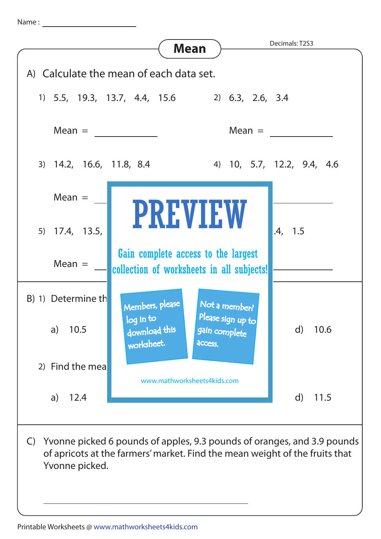